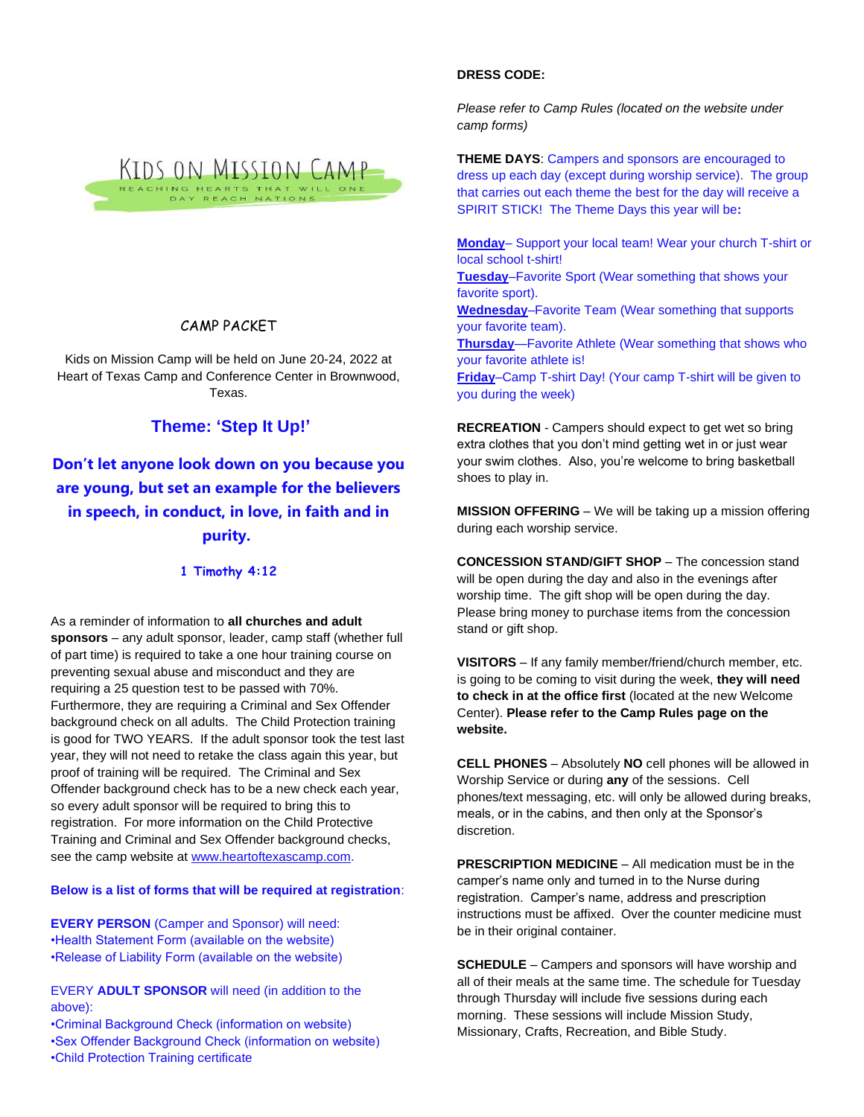

## CAMP PACKET

Kids on Mission Camp will be held on June 20-24, 2022 at Heart of Texas Camp and Conference Center in Brownwood, Texas.

## **Theme: 'Step It Up!'**

**Don't let anyone look down on you because you are young, but set an example for the believers in speech, in conduct, in love, in faith and in purity.**

## **1 Timothy 4:12**

As a reminder of information to **all churches and adult sponsors** – any adult sponsor, leader, camp staff (whether full of part time) is required to take a one hour training course on preventing sexual abuse and misconduct and they are requiring a 25 question test to be passed with 70%. Furthermore, they are requiring a Criminal and Sex Offender background check on all adults. The Child Protection training is good for TWO YEARS. If the adult sponsor took the test last year, they will not need to retake the class again this year, but proof of training will be required. The Criminal and Sex Offender background check has to be a new check each year, so every adult sponsor will be required to bring this to registration. For more information on the Child Protective Training and Criminal and Sex Offender background checks, see the camp website a[t www.heartoftexascamp.com.](http://www.heartoftexascamp.com/)

**Below is a list of forms that will be required at registration**:

**EVERY PERSON** (Camper and Sponsor) will need: •Health Statement Form (available on the website) •Release of Liability Form (available on the website)

EVERY **ADULT SPONSOR** will need (in addition to the above):

•Criminal Background Check (information on website) •Sex Offender Background Check (information on website) •Child Protection Training certificate

## **DRESS CODE:**

*Please refer to Camp Rules (located on the website under camp forms)*

**THEME DAYS**: Campers and sponsors are encouraged to dress up each day (except during worship service). The group that carries out each theme the best for the day will receive a SPIRIT STICK! The Theme Days this year will be**:**

**Monday**– Support your local team! Wear your church T-shirt or local school t-shirt!

**Tuesday**–Favorite Sport (Wear something that shows your favorite sport).

**Wednesday**–Favorite Team (Wear something that supports your favorite team).

**Thursday**—Favorite Athlete (Wear something that shows who your favorite athlete is!

**Friday**–Camp T-shirt Day! (Your camp T-shirt will be given to you during the week)

**RECREATION** - Campers should expect to get wet so bring extra clothes that you don't mind getting wet in or just wear your swim clothes. Also, you're welcome to bring basketball shoes to play in.

**MISSION OFFERING** – We will be taking up a mission offering during each worship service.

**CONCESSION STAND/GIFT SHOP** – The concession stand will be open during the day and also in the evenings after worship time. The gift shop will be open during the day. Please bring money to purchase items from the concession stand or gift shop.

**VISITORS** – If any family member/friend/church member, etc. is going to be coming to visit during the week, **they will need to check in at the office first** (located at the new Welcome Center). **Please refer to the Camp Rules page on the website.**

**CELL PHONES** – Absolutely **NO** cell phones will be allowed in Worship Service or during **any** of the sessions. Cell phones/text messaging, etc. will only be allowed during breaks, meals, or in the cabins, and then only at the Sponsor's discretion.

**PRESCRIPTION MEDICINE** – All medication must be in the camper's name only and turned in to the Nurse during registration. Camper's name, address and prescription instructions must be affixed. Over the counter medicine must be in their original container.

**SCHEDULE** – Campers and sponsors will have worship and all of their meals at the same time. The schedule for Tuesday through Thursday will include five sessions during each morning. These sessions will include Mission Study, Missionary, Crafts, Recreation, and Bible Study.